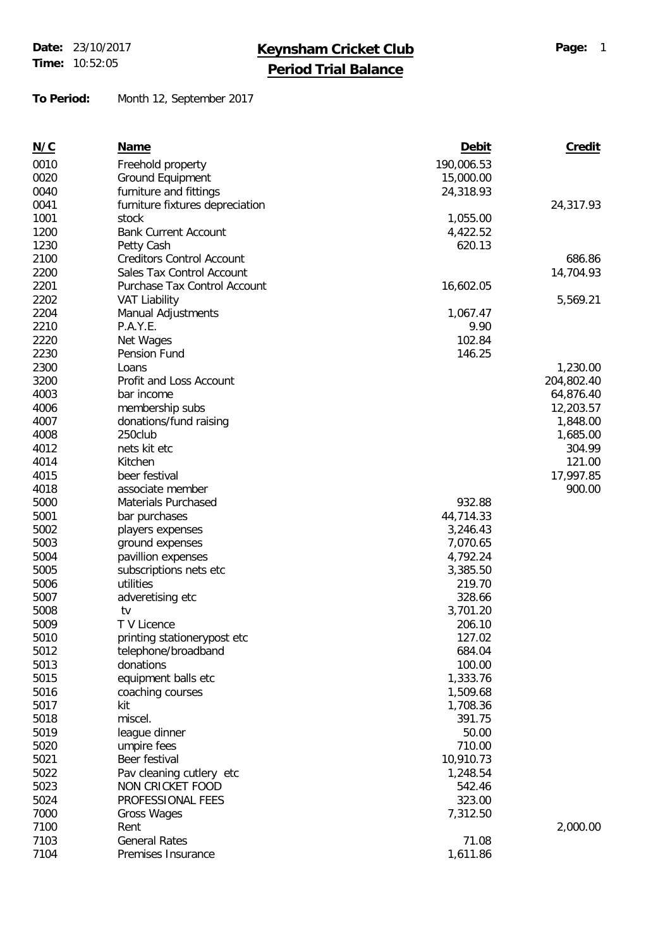**Time:** 10:52:05

## **Date:** 23/10/2017 **Keynsham Cricket Club Page:** <sup>1</sup>

**Period Trial Balance**

**To Period:** Month 12, September 2017

| N/C  | Name                              | Debit           | Credit             |
|------|-----------------------------------|-----------------|--------------------|
| 0010 | Freehold property                 | 190,006.53      |                    |
| 0020 | Ground Equipment                  | 15,000.00       |                    |
| 0040 | furniture and fittings            | 24,318.93       |                    |
| 0041 | furniture fixtures depreciation   |                 | 24,317.93          |
| 1001 | stock                             | 1,055.00        |                    |
| 1200 | <b>Bank Current Account</b>       | 4,422.52        |                    |
| 1230 | Petty Cash                        | 620.13          |                    |
| 2100 | <b>Creditors Control Account</b>  |                 | 686.86             |
| 2200 | Sales Tax Control Account         |                 | 14,704.93          |
| 2201 | Purchase Tax Control Account      | 16,602.05       |                    |
| 2202 | <b>VAT Liability</b>              |                 | 5,569.21           |
| 2204 | Manual Adjustments                | 1,067.47        |                    |
| 2210 | P.A.Y.E.                          | 9.90            |                    |
| 2220 | Net Wages                         | 102.84          |                    |
| 2230 | Pension Fund                      | 146.25          |                    |
| 2300 | Loans                             |                 | 1,230.00           |
| 3200 | Profit and Loss Account           |                 | 204,802.40         |
| 4003 | bar income                        |                 | 64,876.40          |
| 4006 |                                   |                 |                    |
| 4007 | membership subs                   |                 | 12,203.57          |
| 4008 | donations/fund raising<br>250club |                 | 1,848.00           |
| 4012 | nets kit etc                      |                 | 1,685.00<br>304.99 |
|      |                                   |                 |                    |
| 4014 | Kitchen                           |                 | 121.00             |
| 4015 | beer festival                     |                 | 17,997.85          |
| 4018 | associate member                  |                 | 900.00             |
| 5000 | Materials Purchased               | 932.88          |                    |
| 5001 | bar purchases                     | 44,714.33       |                    |
| 5002 | players expenses                  | 3,246.43        |                    |
| 5003 | ground expenses                   | 7,070.65        |                    |
| 5004 | pavillion expenses                | 4,792.24        |                    |
| 5005 | subscriptions nets etc            | 3,385.50        |                    |
| 5006 | utilities                         | 219.70          |                    |
| 5007 | adveretising etc                  | 328.66          |                    |
| 5008 | tv                                | 3,701.20        |                    |
| 5009 | T V Licence                       | 206.10          |                    |
| 5010 | printing stationerypost etc       | 127.02          |                    |
| 5012 | telephone/broadband               | 684.04          |                    |
| 5013 | donations                         | 100.00          |                    |
| 5015 | equipment balls etc               | 1,333.76        |                    |
| 5016 | coaching courses                  | 1,509.68        |                    |
| 5017 | kit                               | 1,708.36        |                    |
| 5018 | miscel.                           | 391.75          |                    |
| 5019 | league dinner                     | 50.00<br>710.00 |                    |
| 5020 | umpire fees                       |                 |                    |
| 5021 | Beer festival                     | 10,910.73       |                    |
| 5022 | Pav cleaning cutlery etc          | 1,248.54        |                    |
| 5023 | NON CRICKET FOOD                  | 542.46          |                    |
| 5024 | PROFESSIONAL FEES                 | 323.00          |                    |
| 7000 | Gross Wages                       | 7,312.50        |                    |
| 7100 | Rent                              |                 | 2,000.00           |
| 7103 | <b>General Rates</b>              | 71.08           |                    |
| 7104 | Premises Insurance                | 1,611.86        |                    |